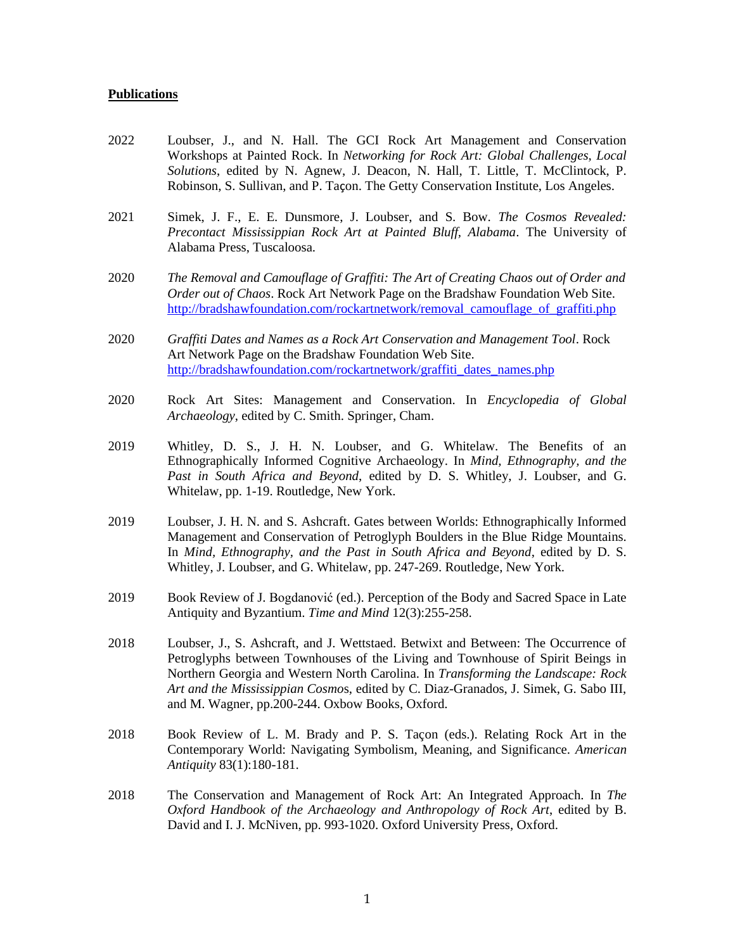## **Publications**

- 2022 Loubser, J., and N. Hall. The GCI Rock Art Management and Conservation Workshops at Painted Rock. In *Networking for Rock Art: Global Challenges, Local Solutions*, edited by N. Agnew, J. Deacon, N. Hall, T. Little, T. McClintock, P. Robinson, S. Sullivan, and P. Taçon. The Getty Conservation Institute, Los Angeles.
- 2021 Simek, J. F., E. E. Dunsmore, J. Loubser, and S. Bow. *The Cosmos Revealed: Precontact Mississippian Rock Art at Painted Bluff, Alabama*. The University of Alabama Press, Tuscaloosa.
- 2020 *The Removal and Camouflage of Graffiti: The Art of Creating Chaos out of Order and Order out of Chaos*. Rock Art Network Page on the Bradshaw Foundation Web Site. [http://bradshawfoundation.com/rockartnetwork/removal\\_camouflage\\_of\\_graffiti.php](http://bradshawfoundation.com/rockartnetwork/removal_camouflage_of_graffiti.php)
- 2020 *Graffiti Dates and Names as a Rock Art Conservation and Management Tool*. Rock Art Network Page on the Bradshaw Foundation Web Site. [http://bradshawfoundation.com/rockartnetwork/graffiti\\_dates\\_names.php](http://bradshawfoundation.com/rockartnetwork/graffiti_dates_names.php)
- 2020 Rock Art Sites: Management and Conservation. In *Encyclopedia of Global Archaeology*, edited by C. Smith. Springer, Cham.
- 2019 Whitley, D. S., J. H. N. Loubser, and G. Whitelaw. The Benefits of an Ethnographically Informed Cognitive Archaeology. In *Mind, Ethnography, and the Past in South Africa and Beyond*, edited by D. S. Whitley, J. Loubser, and G. Whitelaw, pp. 1-19. Routledge, New York.
- 2019 Loubser, J. H. N. and S. Ashcraft. Gates between Worlds: Ethnographically Informed Management and Conservation of Petroglyph Boulders in the Blue Ridge Mountains. In *Mind, Ethnography, and the Past in South Africa and Beyond*, edited by D. S. Whitley, J. Loubser, and G. Whitelaw, pp. 247-269. Routledge, New York.
- 2019 Book Review of J. Bogdanović (ed.). Perception of the Body and Sacred Space in Late Antiquity and Byzantium. *Time and Mind* 12(3):255-258.
- 2018 Loubser, J., S. Ashcraft, and J. Wettstaed. Betwixt and Between: The Occurrence of Petroglyphs between Townhouses of the Living and Townhouse of Spirit Beings in Northern Georgia and Western North Carolina. In *Transforming the Landscape: Rock Art and the Mississippian Cosmo*s, edited by C. Diaz-Granados, J. Simek, G. Sabo III, and M. Wagner, pp.200-244. Oxbow Books, Oxford.
- 2018 Book Review of L. M. Brady and P. S. Taçon (eds.). Relating Rock Art in the Contemporary World: Navigating Symbolism, Meaning, and Significance. *American Antiquity* 83(1):180-181.
- 2018 The Conservation and Management of Rock Art: An Integrated Approach. In *The Oxford Handbook of the Archaeology and Anthropology of Rock Art*, edited by B. David and I. J. McNiven, pp. 993-1020. Oxford University Press, Oxford.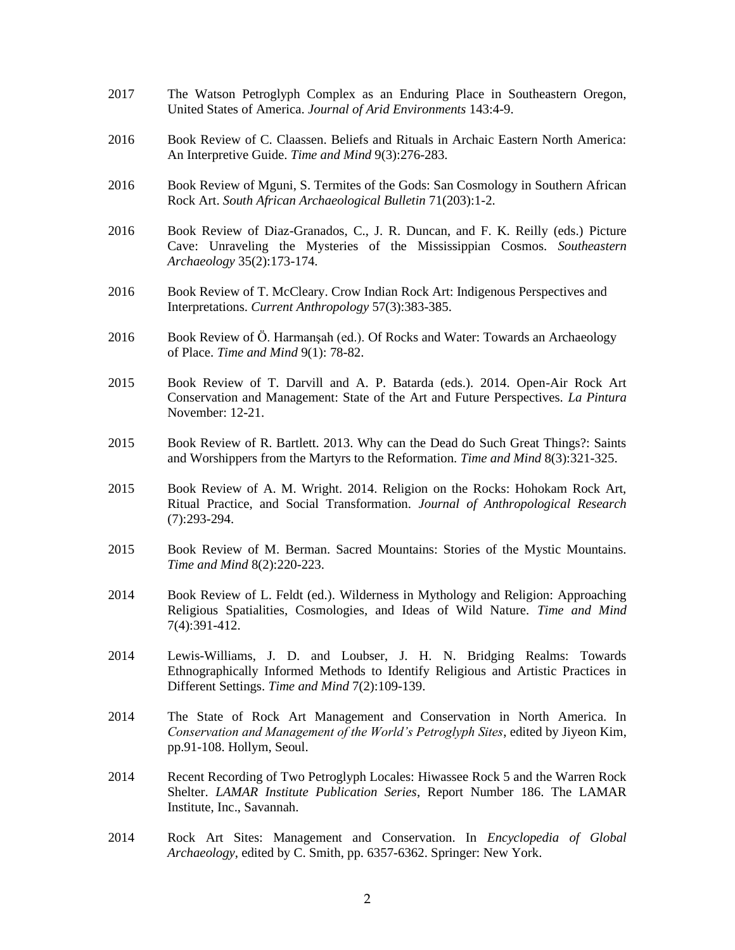- 2017 The Watson Petroglyph Complex as an Enduring Place in Southeastern Oregon, United States of America. *Journal of Arid Environments* 143:4-9.
- 2016 Book Review of C. Claassen. Beliefs and Rituals in Archaic Eastern North America: An Interpretive Guide. *Time and Mind* 9(3):276-283.
- 2016 Book Review of Mguni, S. Termites of the Gods: San Cosmology in Southern African Rock Art. *South African Archaeological Bulletin* 71(203):1-2.
- 2016 Book Review of Diaz-Granados, C., J. R. Duncan, and F. K. Reilly (eds.) Picture Cave: Unraveling the Mysteries of the Mississippian Cosmos. *Southeastern Archaeology* 35(2):173-174.
- 2016 Book Review of T. McCleary. Crow Indian Rock Art: Indigenous Perspectives and Interpretations. *Current Anthropology* 57(3):383-385.
- 2016 Book Review of Ö. Harmanşah (ed.). Of Rocks and Water: Towards an Archaeology of Place. *Time and Mind* 9(1): 78-82.
- 2015 Book Review of T. Darvill and A. P. Batarda (eds.). 2014. Open-Air Rock Art Conservation and Management: State of the Art and Future Perspectives. *La Pintura* November: 12-21.
- 2015 Book Review of R. Bartlett. 2013. Why can the Dead do Such Great Things?: Saints and Worshippers from the Martyrs to the Reformation. *Time and Mind* 8(3):321-325.
- 2015 Book Review of A. M. Wright. 2014. Religion on the Rocks: Hohokam Rock Art, Ritual Practice, and Social Transformation. *Journal of Anthropological Research* (7):293-294.
- 2015 Book Review of M. Berman. Sacred Mountains: Stories of the Mystic Mountains. *Time and Mind* 8(2):220-223.
- 2014 Book Review of L. Feldt (ed.). Wilderness in Mythology and Religion: Approaching Religious Spatialities, Cosmologies, and Ideas of Wild Nature. *Time and Mind* 7(4):391-412.
- 2014 Lewis-Williams, J. D. and Loubser, J. H. N. Bridging Realms: Towards Ethnographically Informed Methods to Identify Religious and Artistic Practices in Different Settings. *Time and Mind* 7(2):109-139.
- 2014 The State of Rock Art Management and Conservation in North America. In *Conservation and Management of the World's Petroglyph Sites*, edited by Jiyeon Kim, pp.91-108. Hollym, Seoul.
- 2014 Recent Recording of Two Petroglyph Locales: Hiwassee Rock 5 and the Warren Rock Shelter. *LAMAR Institute Publication Series*, Report Number 186. The LAMAR Institute, Inc., Savannah.
- 2014 Rock Art Sites: Management and Conservation. In *Encyclopedia of Global Archaeology*, edited by C. Smith, pp. 6357-6362. Springer: New York.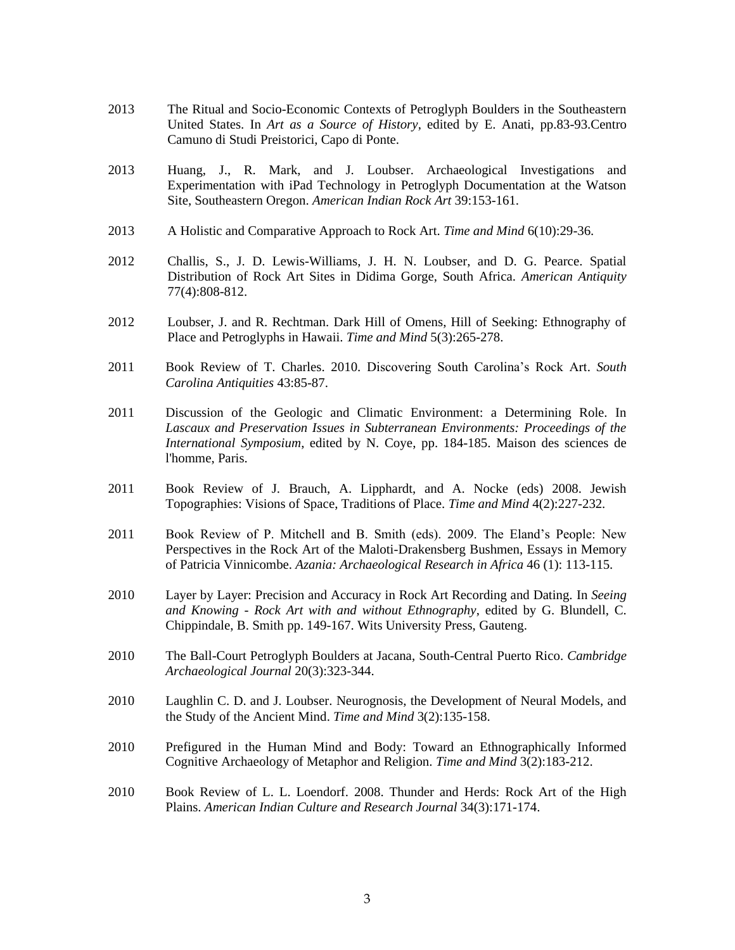- 2013 The Ritual and Socio-Economic Contexts of Petroglyph Boulders in the Southeastern United States. In *Art as a Source of History*, edited by E. Anati, pp.83-93.Centro Camuno di Studi Preistorici, Capo di Ponte.
- 2013 Huang, J., R. Mark, and J. Loubser. Archaeological Investigations and Experimentation with iPad Technology in Petroglyph Documentation at the Watson Site, Southeastern Oregon. *American Indian Rock Art* 39:153-161.
- 2013 A Holistic and Comparative Approach to Rock Art. *Time and Mind* 6(10):29-36.
- 2012 Challis, S., J. D. Lewis-Williams, J. H. N. Loubser, and D. G. Pearce. Spatial Distribution of Rock Art Sites in Didima Gorge, South Africa. *American Antiquity* 77(4):808-812.
- 2012 Loubser, J. and R. Rechtman. Dark Hill of Omens, Hill of Seeking: Ethnography of Place and Petroglyphs in Hawaii. *Time and Mind* 5(3):265-278.
- 2011 Book Review of T. Charles. 2010. Discovering South Carolina's Rock Art. *South Carolina Antiquities* 43:85-87.
- 2011 Discussion of the Geologic and Climatic Environment: a Determining Role. In *Lascaux and Preservation Issues in Subterranean Environments: Proceedings of the International Symposium*, edited by N. Coye, pp. 184-185. Maison des sciences de l'homme, Paris.
- 2011 Book Review of J. Brauch, A. Lipphardt, and A. Nocke (eds) 2008. Jewish Topographies: Visions of Space, Traditions of Place. *Time and Mind* 4(2):227-232.
- 2011 Book Review of P. Mitchell and B. Smith (eds). 2009. The Eland's People: New Perspectives in the Rock Art of the Maloti-Drakensberg Bushmen, Essays in Memory of Patricia Vinnicombe. *Azania: Archaeological Research in Africa* 46 (1): 113-115.
- 2010 Layer by Layer: Precision and Accuracy in Rock Art Recording and Dating. In *Seeing and Knowing - Rock Art with and without Ethnography*, edited by G. Blundell, C. Chippindale, B. Smith pp. 149-167. Wits University Press, Gauteng.
- 2010 The Ball-Court Petroglyph Boulders at Jacana, South-Central Puerto Rico. *Cambridge Archaeological Journal* 20(3):323-344.
- 2010 Laughlin C. D. and J. Loubser. Neurognosis, the Development of Neural Models, and the Study of the Ancient Mind. *Time and Mind* 3(2):135-158.
- 2010 Prefigured in the Human Mind and Body: Toward an Ethnographically Informed Cognitive Archaeology of Metaphor and Religion. *Time and Mind* 3(2):183-212.
- 2010 Book Review of L. L. Loendorf. 2008. Thunder and Herds: Rock Art of the High Plains. *American Indian Culture and Research Journal* 34(3):171-174.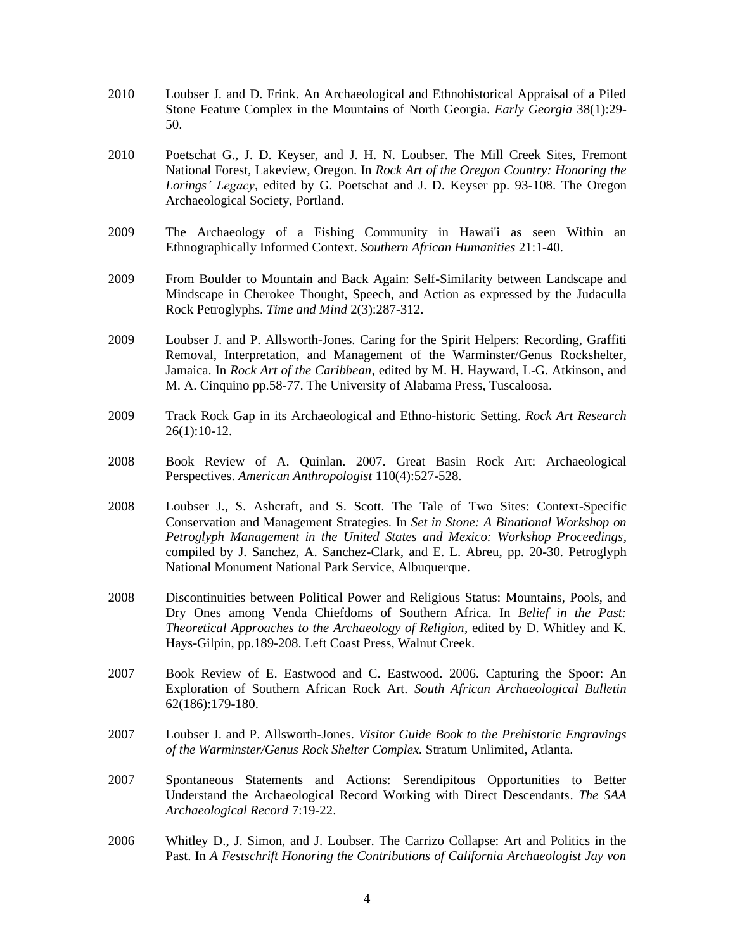- 2010 Loubser J. and D. Frink. An Archaeological and Ethnohistorical Appraisal of a Piled Stone Feature Complex in the Mountains of North Georgia. *Early Georgia* 38(1):29- 50.
- 2010 Poetschat G., J. D. Keyser, and J. H. N. Loubser. The Mill Creek Sites, Fremont National Forest, Lakeview, Oregon. In *Rock Art of the Oregon Country: Honoring the Lorings' Legacy*, edited by G. Poetschat and J. D. Keyser pp. 93-108. The Oregon Archaeological Society, Portland.
- 2009 The Archaeology of a Fishing Community in Hawai'i as seen Within an Ethnographically Informed Context. *Southern African Humanities* 21:1-40.
- 2009 From Boulder to Mountain and Back Again: Self-Similarity between Landscape and Mindscape in Cherokee Thought, Speech, and Action as expressed by the Judaculla Rock Petroglyphs. *Time and Mind* 2(3):287-312.
- 2009 Loubser J. and P. Allsworth-Jones. Caring for the Spirit Helpers: Recording, Graffiti Removal, Interpretation, and Management of the Warminster/Genus Rockshelter, Jamaica. In *Rock Art of the Caribbean*, edited by M. H. Hayward, L-G. Atkinson, and M. A. Cinquino pp.58-77. The University of Alabama Press, Tuscaloosa.
- 2009 Track Rock Gap in its Archaeological and Ethno-historic Setting. *Rock Art Research*  26(1):10-12.
- 2008 Book Review of A. Quinlan. 2007. Great Basin Rock Art: Archaeological Perspectives. *American Anthropologist* 110(4):527-528.
- 2008 Loubser J., S. Ashcraft, and S. Scott. The Tale of Two Sites: Context-Specific Conservation and Management Strategies. In *Set in Stone: A Binational Workshop on Petroglyph Management in the United States and Mexico: Workshop Proceedings*, compiled by J. Sanchez, A. Sanchez-Clark, and E. L. Abreu, pp. 20-30. Petroglyph National Monument National Park Service, Albuquerque.
- 2008 Discontinuities between Political Power and Religious Status: Mountains, Pools, and Dry Ones among Venda Chiefdoms of Southern Africa. In *Belief in the Past: Theoretical Approaches to the Archaeology of Religion*, edited by D. Whitley and K. Hays-Gilpin, pp.189-208. Left Coast Press, Walnut Creek.
- 2007 Book Review of E. Eastwood and C. Eastwood. 2006. Capturing the Spoor: An Exploration of Southern African Rock Art. *South African Archaeological Bulletin* 62(186):179-180.
- 2007 Loubser J. and P. Allsworth-Jones. *Visitor Guide Book to the Prehistoric Engravings of the Warminster/Genus Rock Shelter Complex.* Stratum Unlimited, Atlanta.
- 2007 Spontaneous Statements and Actions: Serendipitous Opportunities to Better Understand the Archaeological Record Working with Direct Descendants. *The SAA Archaeological Record* 7:19-22.
- 2006 Whitley D., J. Simon, and J. Loubser. The Carrizo Collapse: Art and Politics in the Past. In *A Festschrift Honoring the Contributions of California Archaeologist Jay von*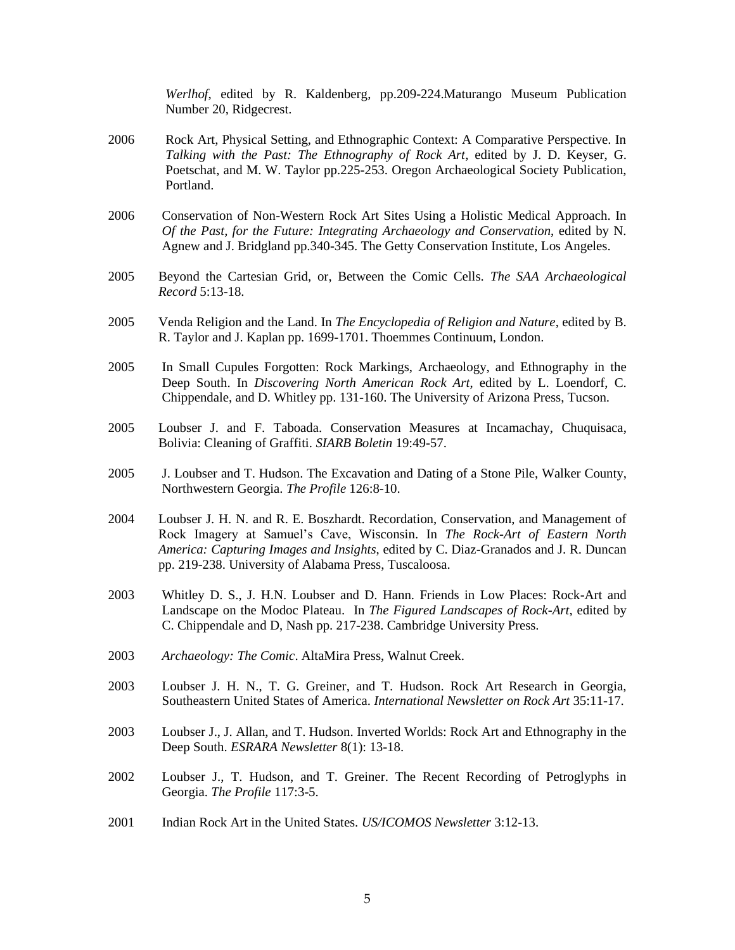*Werlhof*, edited by R. Kaldenberg, pp.209-224.Maturango Museum Publication Number 20, Ridgecrest.

- 2006 Rock Art, Physical Setting, and Ethnographic Context: A Comparative Perspective. In *Talking with the Past: The Ethnography of Rock Art*, edited by J. D. Keyser, G. Poetschat, and M. W. Taylor pp.225-253. Oregon Archaeological Society Publication, Portland.
- 2006 Conservation of Non-Western Rock Art Sites Using a Holistic Medical Approach. In *Of the Past, for the Future: Integrating Archaeology and Conservation*, edited by N. Agnew and J. Bridgland pp.340-345. The Getty Conservation Institute, Los Angeles.
- 2005 Beyond the Cartesian Grid, or, Between the Comic Cells. *The SAA Archaeological Record* 5:13-18.
- 2005 Venda Religion and the Land. In *The Encyclopedia of Religion and Nature*, edited by B. R. Taylor and J. Kaplan pp. 1699-1701. Thoemmes Continuum, London.
- 2005 In Small Cupules Forgotten: Rock Markings, Archaeology, and Ethnography in the Deep South. In *Discovering North American Rock Art*, edited by L. Loendorf, C. Chippendale, and D. Whitley pp. 131-160. The University of Arizona Press, Tucson.
- 2005 Loubser J. and F. Taboada. Conservation Measures at Incamachay, Chuquisaca, Bolivia: Cleaning of Graffiti. *SIARB Boletin* 19:49-57.
- 2005 J. Loubser and T. Hudson. The Excavation and Dating of a Stone Pile, Walker County, Northwestern Georgia. *The Profile* 126:8-10.
- 2004 Loubser J. H. N. and R. E. Boszhardt. Recordation, Conservation, and Management of Rock Imagery at Samuel's Cave, Wisconsin. In *The Rock-Art of Eastern North America: Capturing Images and Insights*, edited by C. Diaz-Granados and J. R. Duncan pp. 219-238. University of Alabama Press, Tuscaloosa.
- 2003 Whitley D. S., J. H.N. Loubser and D. Hann. Friends in Low Places: Rock-Art and Landscape on the Modoc Plateau. In *The Figured Landscapes of Rock-Art*, edited by C. Chippendale and D, Nash pp. 217-238. Cambridge University Press.
- 2003 *Archaeology: The Comic*. AltaMira Press, Walnut Creek.
- 2003 Loubser J. H. N., T. G. Greiner, and T. Hudson. Rock Art Research in Georgia, Southeastern United States of America. *International Newsletter on Rock Art* 35:11-17.
- 2003 Loubser J., J. Allan, and T. Hudson. Inverted Worlds: Rock Art and Ethnography in the Deep South. *ESRARA Newsletter* 8(1): 13-18.
- 2002 Loubser J., T. Hudson, and T. Greiner. The Recent Recording of Petroglyphs in Georgia. *The Profile* 117:3-5.
- 2001 Indian Rock Art in the United States. *US/ICOMOS Newsletter* 3:12-13.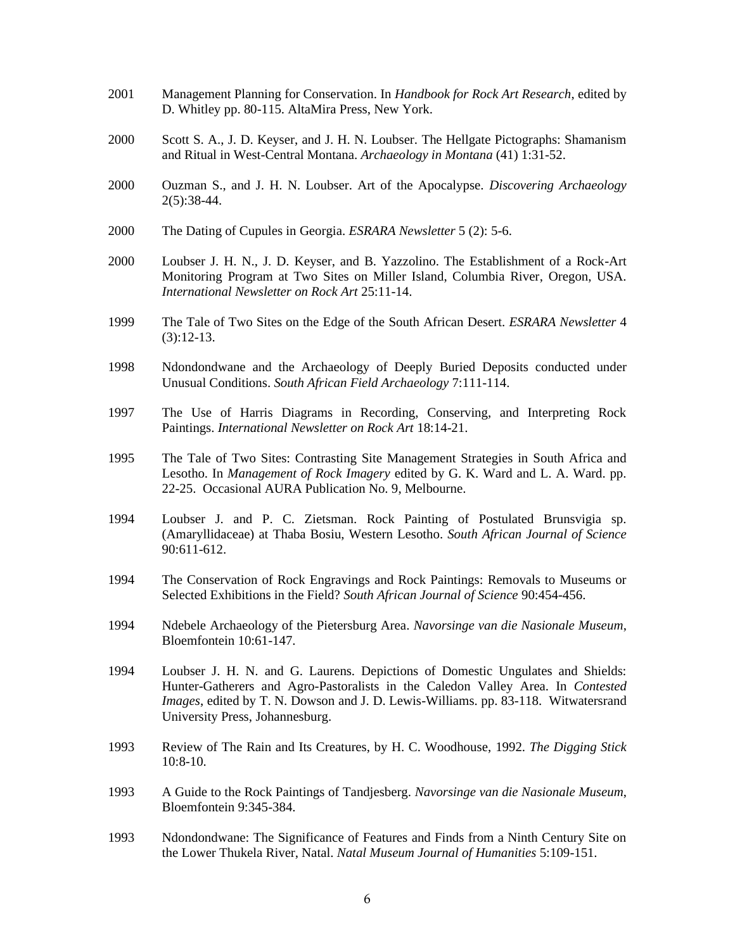- 2001 Management Planning for Conservation. In *Handbook for Rock Art Research*, edited by D. Whitley pp. 80-115. AltaMira Press, New York.
- 2000 Scott S. A., J. D. Keyser, and J. H. N. Loubser. The Hellgate Pictographs: Shamanism and Ritual in West-Central Montana. *Archaeology in Montana* (41) 1:31-52.
- 2000 Ouzman S., and J. H. N. Loubser. Art of the Apocalypse. *Discovering Archaeology* 2(5):38-44.
- 2000 The Dating of Cupules in Georgia. *ESRARA Newsletter* 5 (2): 5-6.
- 2000 Loubser J. H. N., J. D. Keyser, and B. Yazzolino. The Establishment of a Rock-Art Monitoring Program at Two Sites on Miller Island, Columbia River, Oregon, USA. *International Newsletter on Rock Art* 25:11-14.
- 1999 The Tale of Two Sites on the Edge of the South African Desert. *ESRARA Newsletter* 4 (3):12-13.
- 1998 Ndondondwane and the Archaeology of Deeply Buried Deposits conducted under Unusual Conditions. *South African Field Archaeology* 7:111-114.
- 1997 The Use of Harris Diagrams in Recording, Conserving, and Interpreting Rock Paintings. *International Newsletter on Rock Art* 18:14-21.
- 1995 The Tale of Two Sites: Contrasting Site Management Strategies in South Africa and Lesotho. In *Management of Rock Imagery* edited by G. K. Ward and L. A. Ward. pp. 22-25. Occasional AURA Publication No. 9, Melbourne.
- 1994 Loubser J. and P. C. Zietsman. Rock Painting of Postulated Brunsvigia sp. (Amaryllidaceae) at Thaba Bosiu, Western Lesotho. *South African Journal of Science* 90:611-612.
- 1994 The Conservation of Rock Engravings and Rock Paintings: Removals to Museums or Selected Exhibitions in the Field? *South African Journal of Science* 90:454-456.
- 1994 Ndebele Archaeology of the Pietersburg Area. *Navorsinge van die Nasionale Museum*, Bloemfontein 10:61-147.
- 1994 Loubser J. H. N. and G. Laurens. Depictions of Domestic Ungulates and Shields: Hunter-Gatherers and Agro-Pastoralists in the Caledon Valley Area. In *Contested Images*, edited by T. N. Dowson and J. D. Lewis-Williams. pp. 83-118. Witwatersrand University Press, Johannesburg.
- 1993 Review of The Rain and Its Creatures, by H. C. Woodhouse, 1992. *The Digging Stick* 10:8-10.
- 1993 A Guide to the Rock Paintings of Tandjesberg. *Navorsinge van die Nasionale Museum*, Bloemfontein 9:345-384.
- 1993 Ndondondwane: The Significance of Features and Finds from a Ninth Century Site on the Lower Thukela River, Natal. *Natal Museum Journal of Humanities* 5:109-151.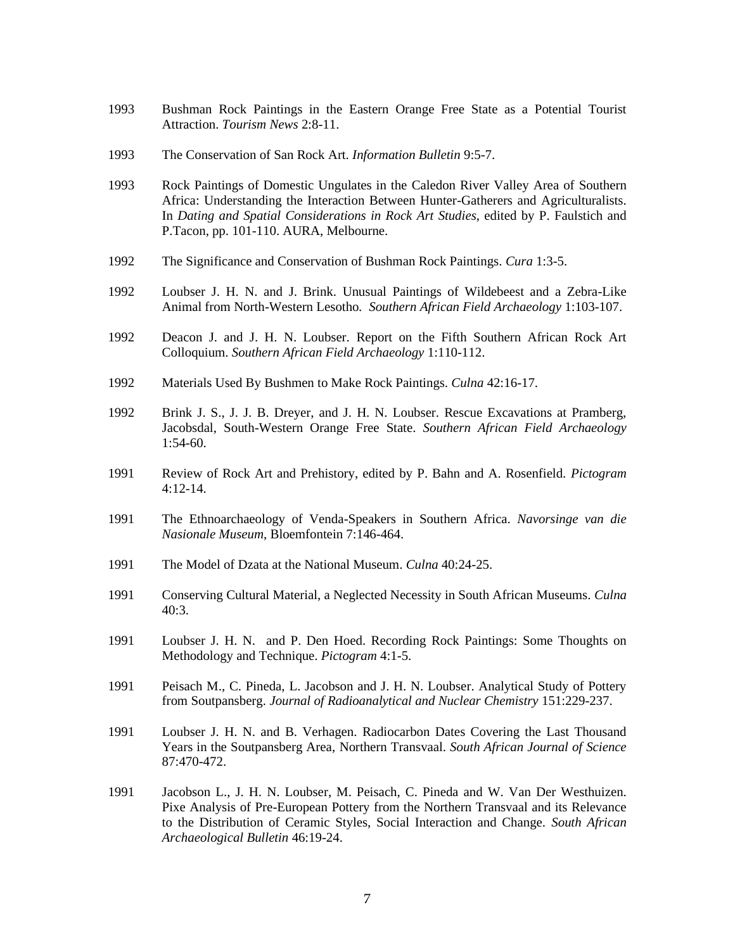- 1993 Bushman Rock Paintings in the Eastern Orange Free State as a Potential Tourist Attraction. *Tourism News* 2:8-11.
- 1993 The Conservation of San Rock Art. *Information Bulletin* 9:5-7.
- 1993 Rock Paintings of Domestic Ungulates in the Caledon River Valley Area of Southern Africa: Understanding the Interaction Between Hunter-Gatherers and Agriculturalists. In *Dating and Spatial Considerations in Rock Art Studies*, edited by P. Faulstich and P.Tacon, pp. 101-110. AURA, Melbourne.
- 1992 The Significance and Conservation of Bushman Rock Paintings. *Cura* 1:3-5.
- 1992 Loubser J. H. N. and J. Brink. Unusual Paintings of Wildebeest and a Zebra-Like Animal from North-Western Lesotho*. Southern African Field Archaeology* 1:103-107.
- 1992 Deacon J. and J. H. N. Loubser. Report on the Fifth Southern African Rock Art Colloquium. *Southern African Field Archaeology* 1:110-112.
- 1992 Materials Used By Bushmen to Make Rock Paintings. *Culna* 42:16-17.
- 1992 Brink J. S., J. J. B. Dreyer, and J. H. N. Loubser. Rescue Excavations at Pramberg, Jacobsdal, South-Western Orange Free State. *Southern African Field Archaeology* 1:54-60.
- 1991 Review of Rock Art and Prehistory, edited by P. Bahn and A. Rosenfield. *Pictogram* 4:12-14.
- 1991 The Ethnoarchaeology of Venda-Speakers in Southern Africa. *Navorsinge van die Nasionale Museum*, Bloemfontein 7:146-464.
- 1991 The Model of Dzata at the National Museum. *Culna* 40:24-25.
- 1991 Conserving Cultural Material, a Neglected Necessity in South African Museums. *Culna* 40:3.
- 1991 Loubser J. H. N. and P. Den Hoed. Recording Rock Paintings: Some Thoughts on Methodology and Technique. *Pictogram* 4:1-5.
- 1991 Peisach M., C. Pineda, L. Jacobson and J. H. N. Loubser. Analytical Study of Pottery from Soutpansberg. *Journal of Radioanalytical and Nuclear Chemistry* 151:229-237.
- 1991 Loubser J. H. N. and B. Verhagen. Radiocarbon Dates Covering the Last Thousand Years in the Soutpansberg Area, Northern Transvaal. *South African Journal of Science* 87:470-472.
- 1991 Jacobson L., J. H. N. Loubser, M. Peisach, C. Pineda and W. Van Der Westhuizen. Pixe Analysis of Pre-European Pottery from the Northern Transvaal and its Relevance to the Distribution of Ceramic Styles, Social Interaction and Change. *South African Archaeological Bulletin* 46:19-24.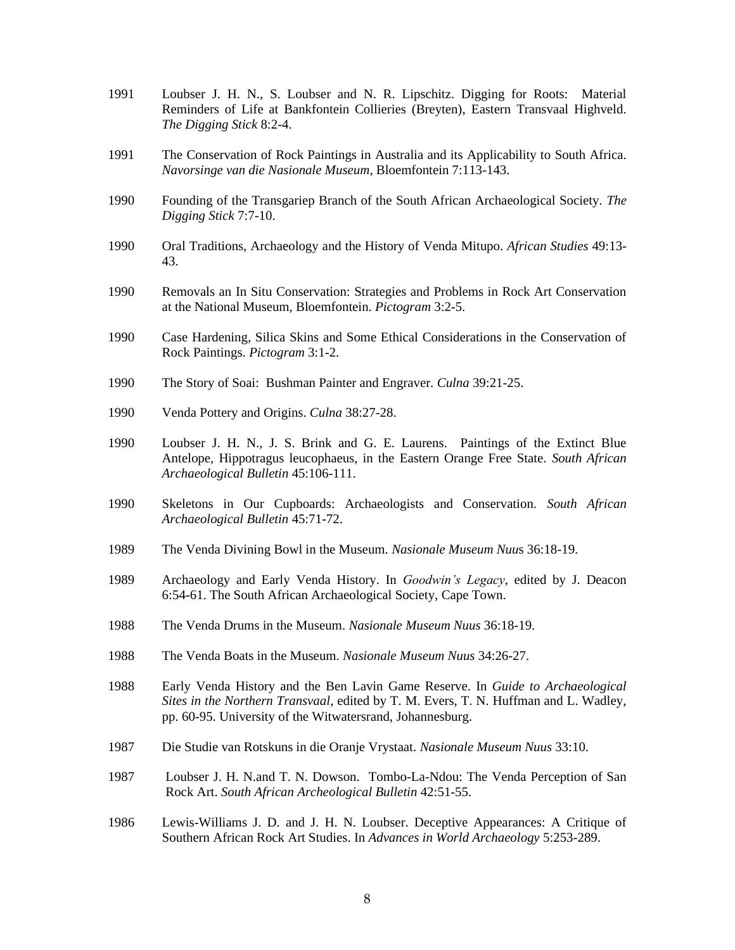- 1991 Loubser J. H. N., S. Loubser and N. R. Lipschitz. Digging for Roots: Material Reminders of Life at Bankfontein Collieries (Breyten), Eastern Transvaal Highveld. *The Digging Stick* 8:2-4.
- 1991 The Conservation of Rock Paintings in Australia and its Applicability to South Africa. *Navorsinge van die Nasionale Museum*, Bloemfontein 7:113-143.
- 1990 Founding of the Transgariep Branch of the South African Archaeological Society. *The Digging Stick* 7:7-10.
- 1990 Oral Traditions, Archaeology and the History of Venda Mitupo. *African Studies* 49:13- 43.
- 1990 Removals an In Situ Conservation: Strategies and Problems in Rock Art Conservation at the National Museum, Bloemfontein. *Pictogram* 3:2-5.
- 1990 Case Hardening, Silica Skins and Some Ethical Considerations in the Conservation of Rock Paintings. *Pictogram* 3:1-2.
- 1990 The Story of Soai: Bushman Painter and Engraver. *Culna* 39:21-25.
- 1990 Venda Pottery and Origins. *Culna* 38:27-28.
- 1990 Loubser J. H. N., J. S. Brink and G. E. Laurens. Paintings of the Extinct Blue Antelope, Hippotragus leucophaeus, in the Eastern Orange Free State. *South African Archaeological Bulletin* 45:106-111.
- 1990 Skeletons in Our Cupboards: Archaeologists and Conservation. *South African Archaeological Bulletin* 45:71-72.
- 1989 The Venda Divining Bowl in the Museum. *Nasionale Museum Nuu*s 36:18-19.
- 1989 Archaeology and Early Venda History. In *Goodwin's Legacy*, edited by J. Deacon 6:54-61. The South African Archaeological Society, Cape Town.
- 1988 The Venda Drums in the Museum. *Nasionale Museum Nuus* 36:18-19.
- 1988 The Venda Boats in the Museum. *Nasionale Museum Nuus* 34:26-27.
- 1988 Early Venda History and the Ben Lavin Game Reserve. In *Guide to Archaeological Sites in the Northern Transvaal*, edited by T. M. Evers, T. N. Huffman and L. Wadley, pp. 60-95. University of the Witwatersrand, Johannesburg.
- 1987 Die Studie van Rotskuns in die Oranje Vrystaat. *Nasionale Museum Nuus* 33:10.
- 1987 Loubser J. H. N.and T. N. Dowson. Tombo-La-Ndou: The Venda Perception of San Rock Art. *South African Archeological Bulletin* 42:51-55.
- 1986 Lewis-Williams J. D. and J. H. N. Loubser. Deceptive Appearances: A Critique of Southern African Rock Art Studies. In *Advances in World Archaeology* 5:253-289.